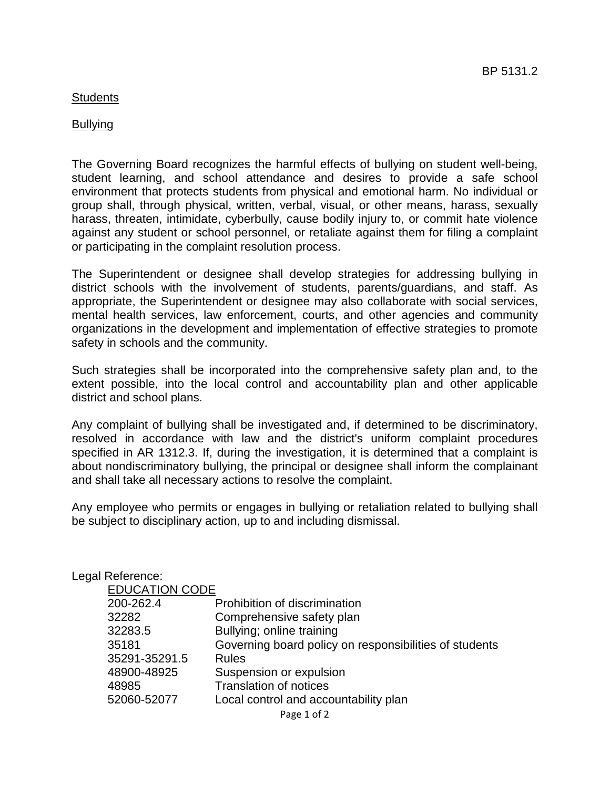## **Students**

## Bullying

The Governing Board recognizes the harmful effects of bullying on student well-being, student learning, and school attendance and desires to provide a safe school environment that protects students from physical and emotional harm. No individual or group shall, through physical, written, verbal, visual, or other means, harass, sexually harass, threaten, intimidate, cyberbully, cause bodily injury to, or commit hate violence against any student or school personnel, or retaliate against them for filing a complaint or participating in the complaint resolution process.

The Superintendent or designee shall develop strategies for addressing bullying in district schools with the involvement of students, parents/guardians, and staff. As appropriate, the Superintendent or designee may also collaborate with social services, mental health services, law enforcement, courts, and other agencies and community organizations in the development and implementation of effective strategies to promote safety in schools and the community.

Such strategies shall be incorporated into the comprehensive safety plan and, to the extent possible, into the local control and accountability plan and other applicable district and school plans.

Any complaint of bullying shall be investigated and, if determined to be discriminatory, resolved in accordance with law and the district's uniform complaint procedures specified in AR 1312.3. If, during the investigation, it is determined that a complaint is about nondiscriminatory bullying, the principal or designee shall inform the complainant and shall take all necessary actions to resolve the complaint.

Any employee who permits or engages in bullying or retaliation related to bullying shall be subject to disciplinary action, up to and including dismissal.

| Legal Reference:      |                                                        |
|-----------------------|--------------------------------------------------------|
| <b>EDUCATION CODE</b> |                                                        |
| 200-262.4             | Prohibition of discrimination                          |
| 32282                 | Comprehensive safety plan                              |
| 32283.5               | Bullying; online training                              |
| 35181                 | Governing board policy on responsibilities of students |
| 35291-35291.5         | <b>Rules</b>                                           |
| 48900-48925           | Suspension or expulsion                                |
| 48985                 | <b>Translation of notices</b>                          |
| 52060-52077           | Local control and accountability plan                  |
|                       | Page 1 of 2                                            |